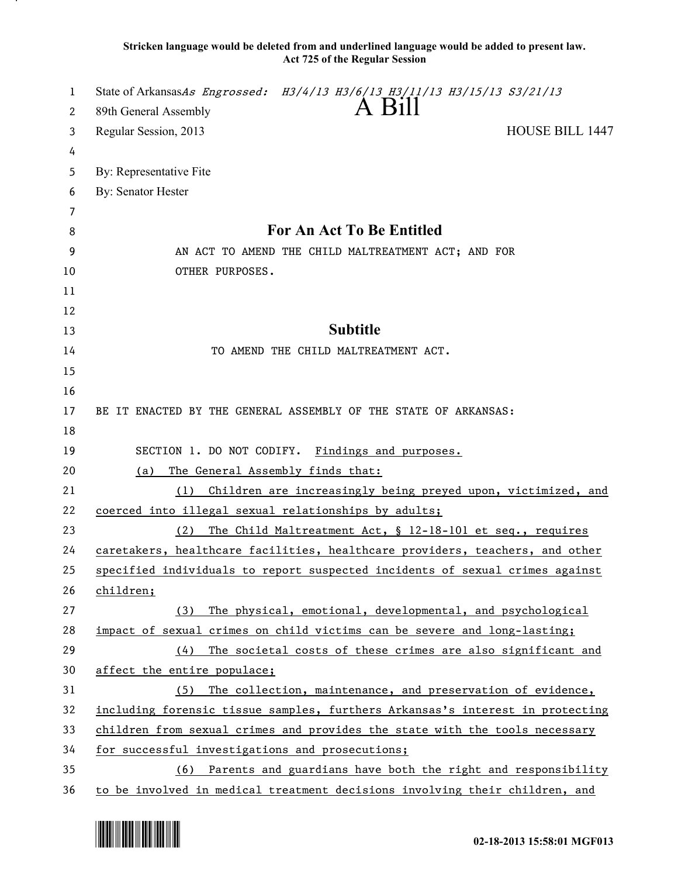**Stricken language would be deleted from and underlined language would be added to present law. Act 725 of the Regular Session**

| 1  | State of ArkansasAs Engrossed: H3/4/13 H3/6/13 H3/11/13 H3/15/13 S3/21/13     |
|----|-------------------------------------------------------------------------------|
| 2  | A Bill<br>89th General Assembly                                               |
| 3  | <b>HOUSE BILL 1447</b><br>Regular Session, 2013                               |
| 4  |                                                                               |
| 5  | By: Representative Fite                                                       |
| 6  | By: Senator Hester                                                            |
| 7  |                                                                               |
| 8  | <b>For An Act To Be Entitled</b>                                              |
| 9  | AN ACT TO AMEND THE CHILD MALTREATMENT ACT; AND FOR                           |
| 10 | OTHER PURPOSES.                                                               |
| 11 |                                                                               |
| 12 |                                                                               |
| 13 | <b>Subtitle</b>                                                               |
| 14 | TO AMEND THE CHILD MALTREATMENT ACT.                                          |
| 15 |                                                                               |
| 16 |                                                                               |
| 17 | BE IT ENACTED BY THE GENERAL ASSEMBLY OF THE STATE OF ARKANSAS:               |
| 18 |                                                                               |
| 19 | SECTION 1. DO NOT CODIFY.<br>Findings and purposes.                           |
| 20 | The General Assembly finds that:<br>(a)                                       |
| 21 | Children are increasingly being preyed upon, victimized, and<br>(1)           |
| 22 | coerced into illegal sexual relationships by adults;                          |
| 23 | (2)<br>The Child Maltreatment Act, § 12-18-101 et seq., requires              |
| 24 | caretakers, healthcare facilities, healthcare providers, teachers, and other  |
| 25 | specified individuals to report suspected incidents of sexual crimes against  |
| 26 | children;                                                                     |
| 27 | The physical, emotional, developmental, and psychological<br>(3)              |
| 28 | impact of sexual crimes on child victims can be severe and long-lasting;      |
| 29 | The societal costs of these crimes are also significant and<br>(4)            |
| 30 | affect the entire populace;                                                   |
| 31 | The collection, maintenance, and preservation of evidence,<br>(5)             |
| 32 | including forensic tissue samples, furthers Arkansas's interest in protecting |
| 33 | children from sexual crimes and provides the state with the tools necessary   |
| 34 | for successful investigations and prosecutions;                               |
| 35 | (6) Parents and guardians have both the right and responsibility              |
| 36 | to be involved in medical treatment decisions involving their children, and   |

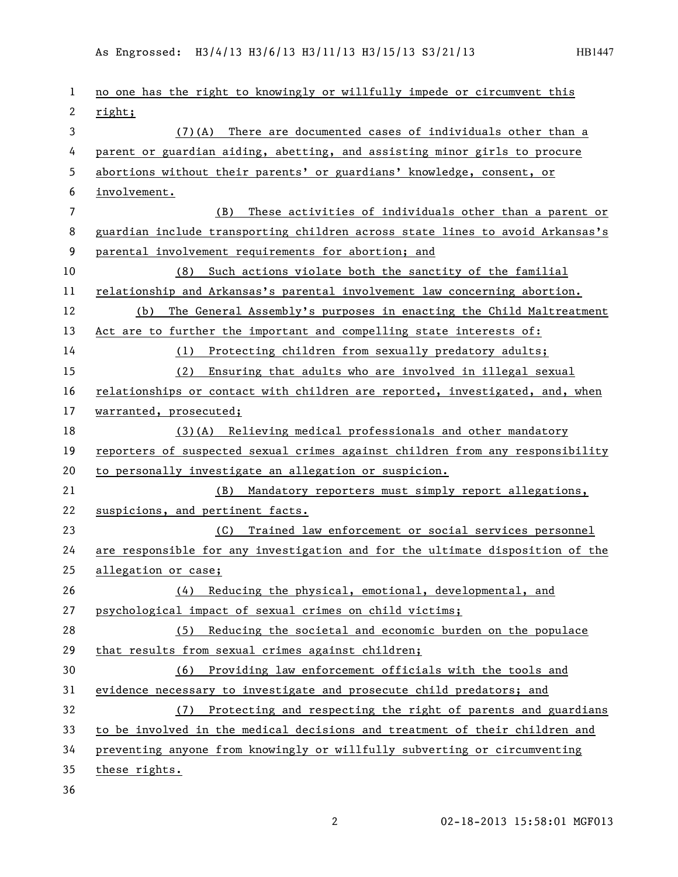| 1              | no one has the right to knowingly or willfully impede or circumvent this      |
|----------------|-------------------------------------------------------------------------------|
| $\mathbf{2}$   | right;                                                                        |
| 3              | (7)(A) There are documented cases of individuals other than a                 |
| 4              | parent or guardian aiding, abetting, and assisting minor girls to procure     |
| 5              | abortions without their parents' or guardians' knowledge, consent, or         |
| 6              | involvement.                                                                  |
| $\overline{7}$ | (B)<br>These activities of individuals other than a parent or                 |
| 8              | guardian include transporting children across state lines to avoid Arkansas's |
| 9              | parental involvement requirements for abortion; and                           |
| 10             | (8) Such actions violate both the sanctity of the familial                    |
| 11             | relationship and Arkansas's parental involvement law concerning abortion.     |
| 12             | The General Assembly's purposes in enacting the Child Maltreatment<br>(b)     |
| 13             | Act are to further the important and compelling state interests of:           |
| 14             | (1) Protecting children from sexually predatory adults;                       |
| 15             | (2) Ensuring that adults who are involved in illegal sexual                   |
| 16             | relationships or contact with children are reported, investigated, and, when  |
| 17             | warranted, prosecuted;                                                        |
| 18             | (3)(A) Relieving medical professionals and other mandatory                    |
| 19             | reporters of suspected sexual crimes against children from any responsibility |
| 20             | to personally investigate an allegation or suspicion.                         |
| 21             | (B) Mandatory reporters must simply report allegations,                       |
| 22             | suspicions, and pertinent facts.                                              |
| 23             | Trained law enforcement or social services personnel<br>(C)                   |
| 24             | are responsible for any investigation and for the ultimate disposition of the |
| 25             | allegation or case;                                                           |
| 26             | (4) Reducing the physical, emotional, developmental, and                      |
| 27             | psychological impact of sexual crimes on child victims;                       |
| 28             | (5) Reducing the societal and economic burden on the populace                 |
| 29             | that results from sexual crimes against children;                             |
| 30             | (6) Providing law enforcement officials with the tools and                    |
| 31             | evidence necessary to investigate and prosecute child predators; and          |
| 32             | (7) Protecting and respecting the right of parents and guardians              |
| 33             | to be involved in the medical decisions and treatment of their children and   |
| 34             | preventing anyone from knowingly or willfully subverting or circumventing     |
| 35             | these rights.                                                                 |
| 36             |                                                                               |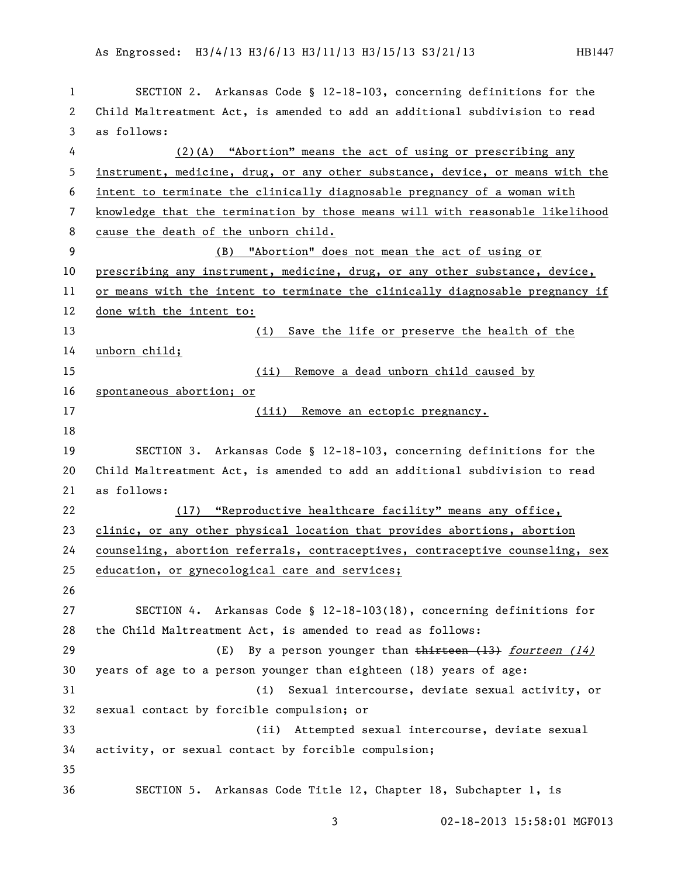## As Engrossed: H3/4/13 H3/6/13 H3/11/13 H3/15/13 S3/21/13 HB1447

| 1  | SECTION 2. Arkansas Code § 12-18-103, concerning definitions for the          |
|----|-------------------------------------------------------------------------------|
| 2  | Child Maltreatment Act, is amended to add an additional subdivision to read   |
| 3  | as follows:                                                                   |
| 4  | (2)(A) "Abortion" means the act of using or prescribing any                   |
| 5  | instrument, medicine, drug, or any other substance, device, or means with the |
| 6  | intent to terminate the clinically diagnosable pregnancy of a woman with      |
| 7  | knowledge that the termination by those means will with reasonable likelihood |
| 8  | cause the death of the unborn child.                                          |
| 9  | "Abortion" does not mean the act of using or<br>(B)                           |
| 10 | prescribing any instrument, medicine, drug, or any other substance, device,   |
| 11 | or means with the intent to terminate the clinically diagnosable pregnancy if |
| 12 | done with the intent to:                                                      |
| 13 | (i) Save the life or preserve the health of the                               |
| 14 | unborn child;                                                                 |
| 15 | Remove a dead unborn child caused by<br>(ii)                                  |
| 16 | spontaneous abortion; or                                                      |
| 17 | (iii) Remove an ectopic pregnancy.                                            |
| 18 |                                                                               |
| 19 | SECTION 3. Arkansas Code § 12-18-103, concerning definitions for the          |
| 20 | Child Maltreatment Act, is amended to add an additional subdivision to read   |
| 21 | as follows:                                                                   |
| 22 | (17) "Reproductive healthcare facility" means any office,                     |
| 23 | clinic, or any other physical location that provides abortions, abortion      |
| 24 | counseling, abortion referrals, contraceptives, contraceptive counseling, sex |
| 25 | education, or gynecological care and services;                                |
| 26 |                                                                               |
| 27 | SECTION 4. Arkansas Code § 12-18-103(18), concerning definitions for          |
| 28 | the Child Maltreatment Act, is amended to read as follows:                    |
| 29 | By a person younger than $t$ hirteen $(13)$ fourteen $(14)$<br>(E)            |
| 30 | years of age to a person younger than eighteen (18) years of age:             |
| 31 | (i)<br>Sexual intercourse, deviate sexual activity, or                        |
| 32 | sexual contact by forcible compulsion; or                                     |
| 33 | Attempted sexual intercourse, deviate sexual<br>(ii)                          |
| 34 | activity, or sexual contact by forcible compulsion;                           |
| 35 |                                                                               |
| 36 | SECTION 5. Arkansas Code Title 12, Chapter 18, Subchapter 1, is               |

02-18-2013 15:58:01 MGF013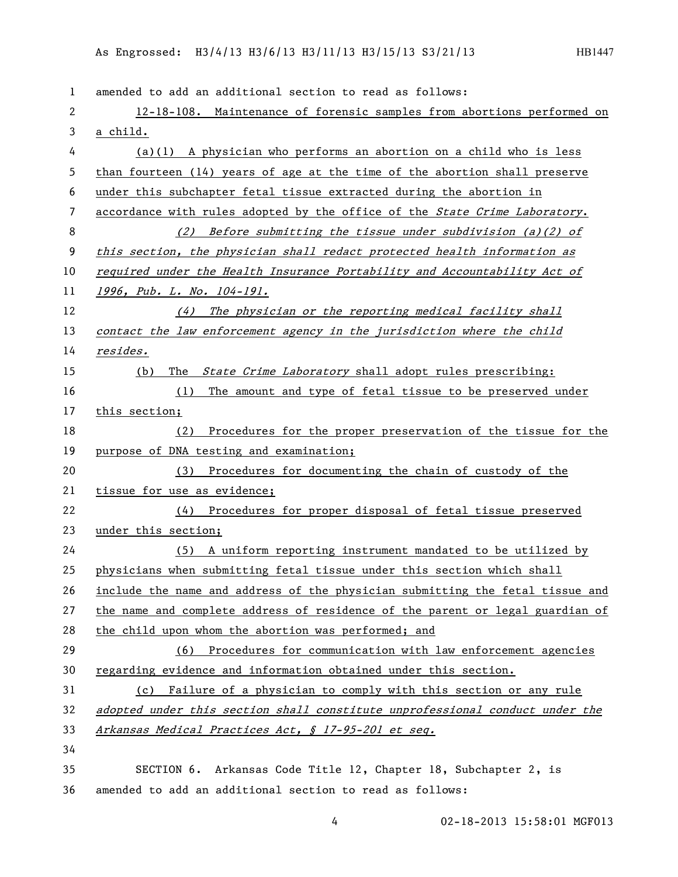| 1              | amended to add an additional section to read as follows:                      |
|----------------|-------------------------------------------------------------------------------|
| 2              | 12-18-108. Maintenance of forensic samples from abortions performed on        |
| 3              | a child.                                                                      |
| 4              | $(a)(1)$ A physician who performs an abortion on a child who is less          |
| 5              | than fourteen $(14)$ years of age at the time of the abortion shall preserve  |
| 6              | under this subchapter fetal tissue extracted during the abortion in           |
| $\overline{7}$ | accordance with rules adopted by the office of the State Crime Laboratory.    |
| 8              | (2) Before submitting the tissue under subdivision (a)(2) of                  |
| 9              | this section, the physician shall redact protected health information as      |
| 10             | required under the Health Insurance Portability and Accountability Act of     |
| 11             | 1996, Pub. L. No. 104-191.                                                    |
| 12             | (4) The physician or the reporting medical facility shall                     |
| 13             | contact the law enforcement agency in the jurisdiction where the child        |
| 14             | <u>resides.</u>                                                               |
| 15             | The <i>State Crime Laboratory</i> shall adopt rules prescribing:<br>(b)       |
| 16             | The amount and type of fetal tissue to be preserved under<br>(1)              |
| 17             | this section;                                                                 |
| 18             | Procedures for the proper preservation of the tissue for the<br>(2)           |
| 19             | purpose of DNA testing and examination;                                       |
| 20             | Procedures for documenting the chain of custody of the<br>(3)                 |
| 21             | tissue for use as evidence;                                                   |
| 22             | (4) Procedures for proper disposal of fetal tissue preserved                  |
| 23             | under this section;                                                           |
| 24             | (5) A uniform reporting instrument mandated to be utilized by                 |
| 25             | physicians when submitting fetal tissue under this section which shall        |
| 26             | include the name and address of the physician submitting the fetal tissue and |
| 27             | the name and complete address of residence of the parent or legal guardian of |
| 28             | the child upon whom the abortion was performed; and                           |
| 29             | Procedures for communication with law enforcement agencies<br>(6)             |
| 30             | regarding evidence and information obtained under this section.               |
| 31             | Failure of a physician to comply with this section or any rule<br>(c)         |
| 32             | adopted under this section shall constitute unprofessional conduct under the  |
| 33             | <u>Arkansas Medical Practices Act, § 17-95-201 et seq.</u>                    |
| 34             |                                                                               |
| 35             | SECTION 6. Arkansas Code Title 12, Chapter 18, Subchapter 2, is               |
| 36             | amended to add an additional section to read as follows:                      |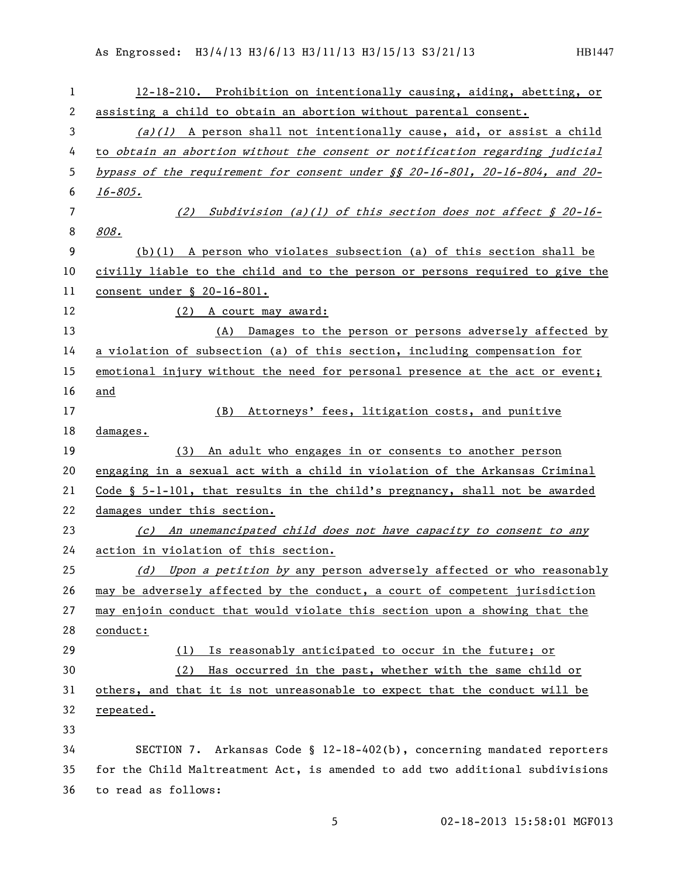As Engrossed: H3/4/13 H3/6/13 H3/11/13 H3/15/13 S3/21/13 HB1447

| 1  | 12-18-210. Prohibition on intentionally causing, aiding, abetting, or                |
|----|--------------------------------------------------------------------------------------|
| 2  | assisting a child to obtain an abortion without parental consent.                    |
| 3  | $(a)(1)$ A person shall not intentionally cause, aid, or assist a child              |
| 4  | to obtain an abortion without the consent or notification regarding judicial         |
| 5  | bypass of the requirement for consent under §§ 20-16-801, 20-16-804, and 20-         |
| 6  | 16-805.                                                                              |
| 7  | (2) Subdivision (a)(1) of this section does not affect $\S$ 20-16-                   |
| 8  | 808.                                                                                 |
| 9  | $(b)(1)$ A person who violates subsection (a) of this section shall be               |
| 10 | civilly liable to the child and to the person or persons required to give the        |
| 11 | <u>consent</u> under § 20-16-801.                                                    |
| 12 | (2) A court may award:                                                               |
| 13 | (A) Damages to the person or persons adversely affected by                           |
| 14 | a violation of subsection (a) of this section, including compensation for            |
| 15 | emotional injury without the need for personal presence at the act or event;         |
| 16 | and                                                                                  |
| 17 | Attorneys' fees, litigation costs, and punitive<br>(B)                               |
| 18 | damages.                                                                             |
|    |                                                                                      |
| 19 | An adult who engages in or consents to another person<br>(3)                         |
| 20 | engaging in a sexual act with a child in violation of the Arkansas Criminal          |
| 21 | Code $\S$ 5-1-101, that results in the child's pregnancy, shall not be awarded       |
| 22 | damages under this section.                                                          |
| 23 | An unemancipated child does not have capacity to consent to any<br>$\left( c\right)$ |
| 24 | action in violation of this section.                                                 |
| 25 | (d) Upon a petition by any person adversely affected or who reasonably               |
| 26 | may be adversely affected by the conduct, a court of competent jurisdiction          |
| 27 | may enjoin conduct that would violate this section upon a showing that the           |
| 28 | conduct:                                                                             |
| 29 | Is reasonably anticipated to occur in the future; or<br>(1)                          |
| 30 | Has occurred in the past, whether with the same child or<br>(2)                      |
| 31 | others, and that it is not unreasonable to expect that the conduct will be           |
| 32 | repeated.                                                                            |
| 33 |                                                                                      |
| 34 | SECTION 7. Arkansas Code § 12-18-402(b), concerning mandated reporters               |
| 35 | for the Child Maltreatment Act, is amended to add two additional subdivisions        |